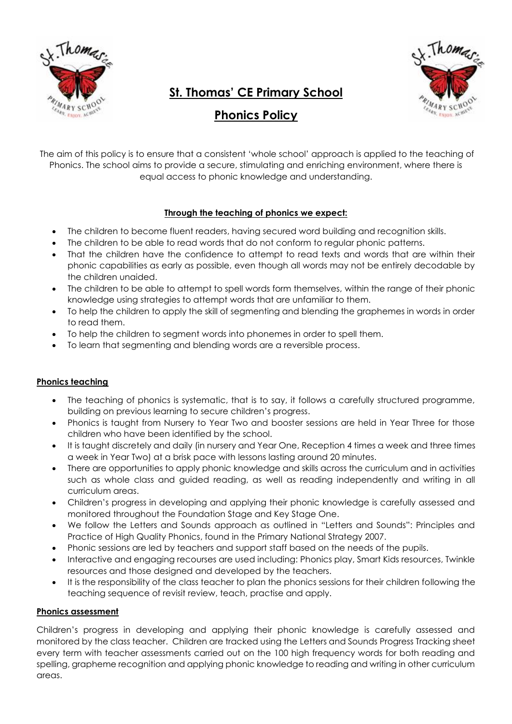

# **St. Thomas' CE Primary School**

**Phonics Policy**

The aim of this policy is to ensure that a consistent 'whole school' approach is applied to the teaching of Phonics. The school aims to provide a secure, stimulating and enriching environment, where there is equal access to phonic knowledge and understanding.

# **Through the teaching of phonics we expect:**

- The children to become fluent readers, having secured word building and recognition skills.
- The children to be able to read words that do not conform to regular phonic patterns.
- That the children have the confidence to attempt to read texts and words that are within their phonic capabilities as early as possible, even though all words may not be entirely decodable by the children unaided.
- The children to be able to attempt to spell words form themselves, within the range of their phonic knowledge using strategies to attempt words that are unfamiliar to them.
- To help the children to apply the skill of segmenting and blending the graphemes in words in order to read them.
- To help the children to segment words into phonemes in order to spell them.
- To learn that segmenting and blending words are a reversible process.

## **Phonics teaching**

- The teaching of phonics is systematic, that is to say, it follows a carefully structured programme, building on previous learning to secure children's progress.
- Phonics is taught from Nursery to Year Two and booster sessions are held in Year Three for those children who have been identified by the school.
- It is taught discretely and daily (in nursery and Year One, Reception 4 times a week and three times a week in Year Two) at a brisk pace with lessons lasting around 20 minutes.
- There are opportunities to apply phonic knowledge and skills across the curriculum and in activities such as whole class and guided reading, as well as reading independently and writing in all curriculum areas.
- Children's progress in developing and applying their phonic knowledge is carefully assessed and monitored throughout the Foundation Stage and Key Stage One.
- We follow the Letters and Sounds approach as outlined in "Letters and Sounds": Principles and Practice of High Quality Phonics, found in the Primary National Strategy 2007.
- Phonic sessions are led by teachers and support staff based on the needs of the pupils.
- Interactive and engaging recourses are used including: Phonics play, Smart Kids resources, Twinkle resources and those designed and developed by the teachers.
- It is the responsibility of the class teacher to plan the phonics sessions for their children following the teaching sequence of revisit review, teach, practise and apply.

### **Phonics assessment**

Children's progress in developing and applying their phonic knowledge is carefully assessed and monitored by the class teacher. Children are tracked using the Letters and Sounds Progress Tracking sheet every term with teacher assessments carried out on the 100 high frequency words for both reading and spelling, grapheme recognition and applying phonic knowledge to reading and writing in other curriculum areas.